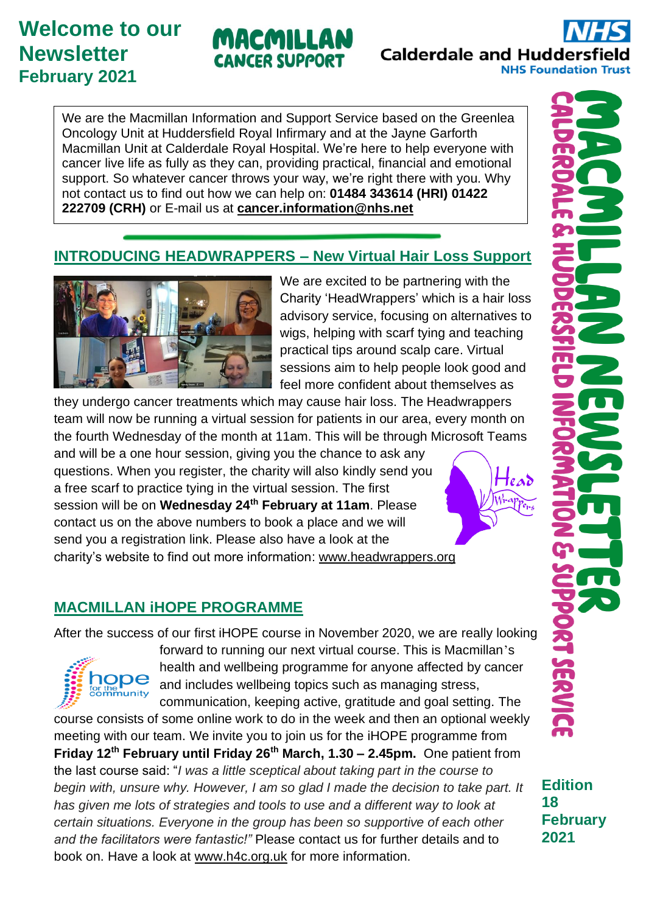# **Welcome to our Newsletter February 2021**

# MACMILLAN **CANCER SUPPORT**

**Calderdale and Huddersfield NHS Foundation Trust** 

We are the Macmillan Information and Support Service based on the Greenlea Oncology Unit at Huddersfield Royal Infirmary and at the Jayne Garforth Macmillan Unit at Calderdale Royal Hospital. We're here to help everyone with cancer live life as fully as they can, providing practical, financial and emotional support. So whatever cancer throws your way, we're right there with you. Why not contact us to find out how we can help on: **01484 343614 (HRI) 01422 222709 (CRH)** or E-mail us at **[cancer.information@nhs.net](mailto:cancer.information@nhs.net)**

## **INTRODUCING HEADWRAPPERS – New Virtual Hair Loss Support**



We are excited to be partnering with the Charity 'HeadWrappers' which is a hair loss advisory service, focusing on alternatives to wigs, helping with scarf tying and teaching practical tips around scalp care. Virtual sessions aim to help people look good and feel more confident about themselves as

they undergo cancer treatments which may cause hair loss. The Headwrappers team will now be running a virtual session for patients in our area, every month on the fourth Wednesday of the month at 11am. This will be through Microsoft Teams

and will be a one hour session, giving you the chance to ask any questions. When you register, the charity will also kindly send you a free scarf to practice tying in the virtual session. The first session will be on **Wednesday 24th February at 11am**. Please contact us on the above numbers to book a place and we will send you a registration link. Please also have a look at the charity's website to find out more information: www.headwrappers.org

## **MACMILLAN iHOPE PROGRAMME**

After the success of our first iHOPE course in November 2020, we are really looking



forward to running our next virtual course. This is Macmillan's health and wellbeing programme for anyone affected by cancer and includes wellbeing topics such as managing stress, communication, keeping active, gratitude and goal setting. The

course consists of some online work to do in the week and then an optional weekly meeting with our team. We invite you to join us for the iHOPE programme from **Friday 12th February until Friday 26th March, 1.30 – 2.45pm.** One patient from the last course said: "*I was a little sceptical about taking part in the course to begin with, unsure why. However, I am so glad I made the decision to take part. It has given me lots of strategies and tools to use and a different way to look at certain situations. Everyone in the group has been so supportive of each other and the facilitators were fantastic!"* Please contact us for further details and to book on. Have a look at [www.h4c.org.uk](http://www.h4c.org.uk/) for more information.



**Edition**

**SERR** 

**February**

**18**

**2021**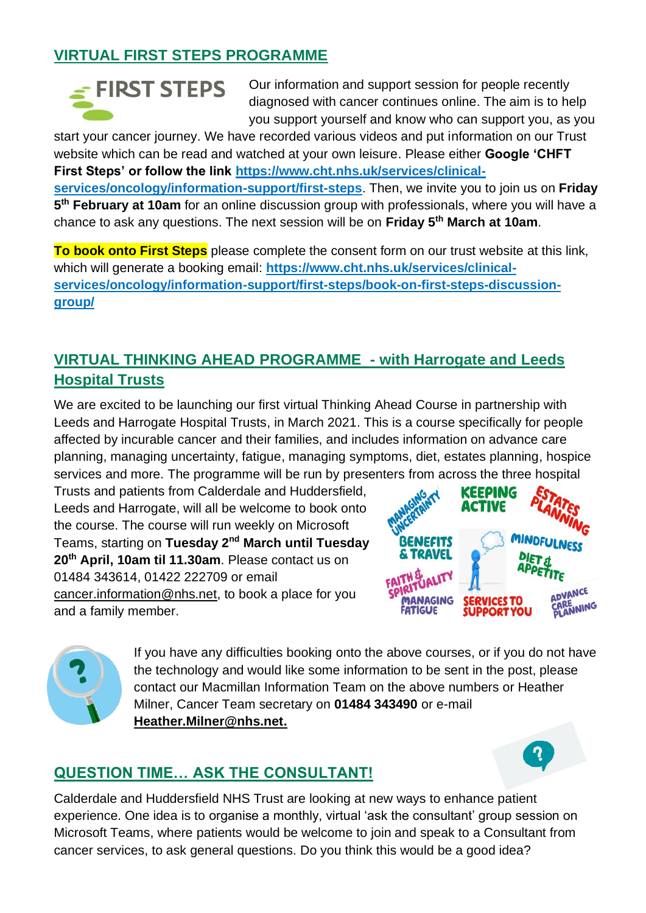## **VIRTUAL FIRST STEPS PROGRAMME**

# $\leq$  FIRST STEPS

Our information and support session for people recently diagnosed with cancer continues online. The aim is to help you support yourself and know who can support you, as you

start your cancer journey. We have recorded various videos and put information on our Trust website which can be read and watched at your own leisure. Please either **Google 'CHFT First Steps' or follow the link [https://www.cht.nhs.uk/services/clinical](https://www.cht.nhs.uk/services/clinical-services/oncology/information-support/first-steps)[services/oncology/information-support/first-steps](https://www.cht.nhs.uk/services/clinical-services/oncology/information-support/first-steps)**. Then, we invite you to join us on **Friday 5 th February at 10am** for an online discussion group with professionals, where you will have a chance to ask any questions. The next session will be on **Friday 5th March at 10am**.

**To book onto First Steps** please complete the consent form on our trust website at this link, which will generate a booking email: **https://www.cht.nhs.uk/services/clinicalservices/oncology/information-support/first-steps/book-on-first-steps-discussiongroup/** 

## **VIRTUAL THINKING AHEAD PROGRAMME - with Harrogate and Leeds Hospital Trusts**

We are excited to be launching our first virtual Thinking Ahead Course in partnership with Leeds and Harrogate Hospital Trusts, in March 2021. This is a course specifically for people affected by incurable cancer and their families, and includes information on advance care planning, managing uncertainty, fatigue, managing symptoms, diet, estates planning, hospice services and more. The programme will be run by presenters from across the three hospital

Trusts and patients from Calderdale and Huddersfield, Leeds and Harrogate, will all be welcome to book onto the course. The course will run weekly on Microsoft Teams, starting on **Tuesday 2nd March until Tuesday 20th April, 10am til 11.30am**. Please contact us on 01484 343614, 01422 222709 or email [cancer.information@nhs.net,](mailto:cancer.information@nhs.net) to book a place for you and a family member.





If you have any difficulties booking onto the above courses, or if you do not have the technology and would like some information to be sent in the post, please contact our Macmillan Information Team on the above numbers or Heather Milner, Cancer Team secretary on **01484 343490** or e-mail **[Heather.Milner@nhs.net.](mailto:Heather.Milner@nhs.net)**



## **QUESTION TIME… ASK THE CONSULTANT!**

Calderdale and Huddersfield NHS Trust are looking at new ways to enhance patient experience. One idea is to organise a monthly, virtual 'ask the consultant' group session on Microsoft Teams, where patients would be welcome to join and speak to a Consultant from cancer services, to ask general questions. Do you think this would be a good idea?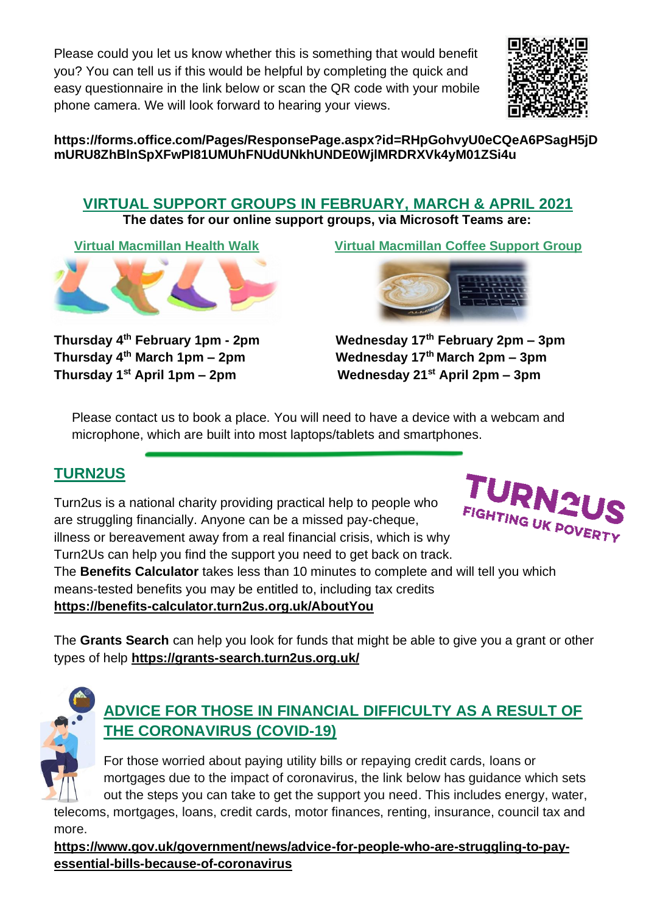Please could you let us know whether this is something that would benefit you? You can tell us if this would be helpful by completing the quick and easy questionnaire in the link below or scan the QR code with your mobile phone camera. We will look forward to hearing your views.



#### **https://forms.office.com/Pages/ResponsePage.aspx?id=RHpGohvyU0eCQeA6PSagH5jD mURU8ZhBlnSpXFwPI81UMUhFNUdUNkhUNDE0WjlMRDRXVk4yM01ZSi4u**

# **VIRTUAL SUPPORT GROUPS IN FEBRUARY, MARCH & APRIL 2021**

**The dates for our online support groups, via Microsoft Teams are:**



**Thursday 4**

**Virtual Macmillan Health Walk Virtual Macmillan Coffee Support Group** 



**th February 1pm - 2pm Wednesday 17th February 2pm – 3pm Thursday 4th March 1pm – 2pm Wednesday 17th March 2pm – 3pm Thursday 1st April 1pm – 2pm Wednesday 21st April 2pm – 3pm**

Please contact us to book a place. You will need to have a device with a webcam and microphone, which are built into most laptops/tablets and smartphones.

# **TURN2US**

Turn2us is a national charity providing practical help to people who are struggling financially. Anyone can be a missed pay-cheque, illness or bereavement away from a real financial crisis, which is why Turn2Us can help you find the support you need to get back on track.



The **Benefits Calculator** takes less than 10 minutes to complete and will tell you which means-tested benefits you may be entitled to, including tax credits

**<https://benefits-calculator.turn2us.org.uk/AboutYou>**

The **Grants [Search](https://www.turn2us.org.uk/Grants-Search-redirect)** can help you look for funds that might be able to give you a grant or other types of help **<https://grants-search.turn2us.org.uk/>**



# **ADVICE FOR THOSE IN FINANCIAL DIFFICULTY AS A RESULT OF THE CORONAVIRUS (COVID-19)**

For those worried about paying utility bills or repaying credit cards, loans or mortgages due to the impact of coronavirus, the link below has guidance which sets out the steps you can take to get the support you need. This includes energy, water,

telecoms, mortgages, loans, credit cards, motor finances, renting, insurance, council tax and more.

**[https://www.gov.uk/government/news/advice-for-people-who-are-struggling-to-pay](https://www.gov.uk/government/news/advice-for-people-who-are-struggling-to-pay-essential-bills-because-of-coronavirus)[essential-bills-because-of-coronavirus](https://www.gov.uk/government/news/advice-for-people-who-are-struggling-to-pay-essential-bills-because-of-coronavirus)**